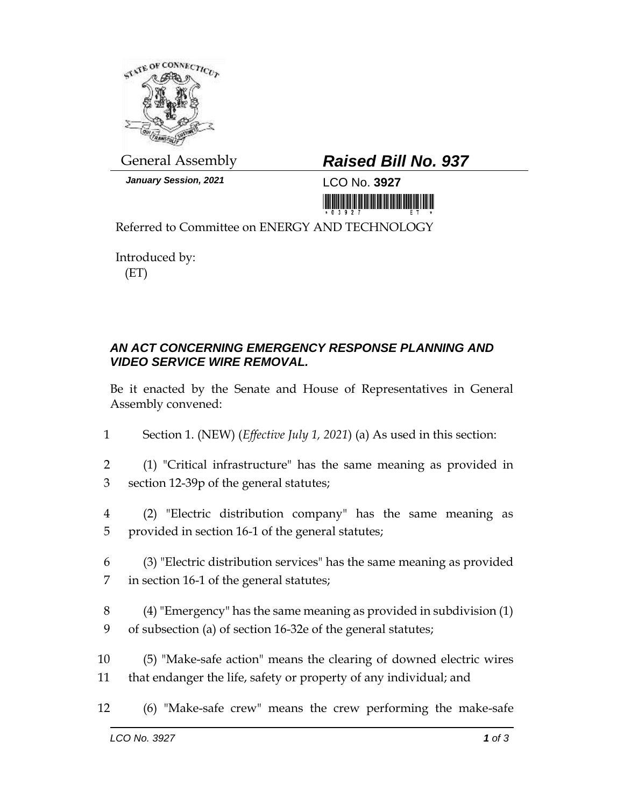

*January Session, 2021* LCO No. **3927**

## General Assembly *Raised Bill No. 937*

<u> 1999 - Andrew Maria Maria Maria Maria Maria Maria Maria Maria Maria Maria Maria Maria Maria Maria Maria Mari</u>

Referred to Committee on ENERGY AND TECHNOLOGY

Introduced by: (ET)

## *AN ACT CONCERNING EMERGENCY RESPONSE PLANNING AND VIDEO SERVICE WIRE REMOVAL.*

Be it enacted by the Senate and House of Representatives in General Assembly convened:

- 1 Section 1. (NEW) (*Effective July 1, 2021*) (a) As used in this section:
- 2 (1) "Critical infrastructure" has the same meaning as provided in 3 section 12-39p of the general statutes;
- 4 (2) "Electric distribution company" has the same meaning as 5 provided in section 16-1 of the general statutes;
- 6 (3) "Electric distribution services" has the same meaning as provided 7 in section 16-1 of the general statutes;
- 8 (4) "Emergency" has the same meaning as provided in subdivision (1) 9 of subsection (a) of section 16-32e of the general statutes;
- 10 (5) "Make-safe action" means the clearing of downed electric wires 11 that endanger the life, safety or property of any individual; and
- 12 (6) "Make-safe crew" means the crew performing the make-safe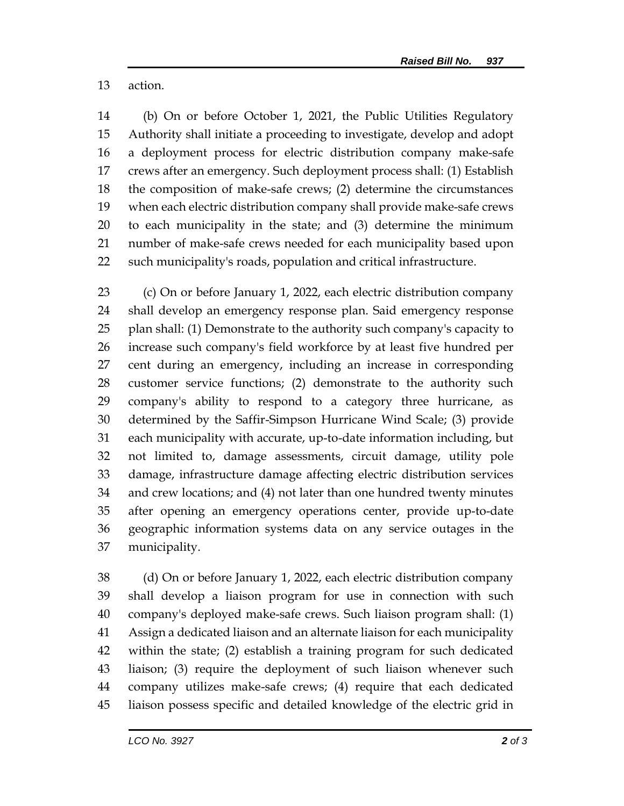## action.

 (b) On or before October 1, 2021, the Public Utilities Regulatory Authority shall initiate a proceeding to investigate, develop and adopt a deployment process for electric distribution company make-safe crews after an emergency. Such deployment process shall: (1) Establish the composition of make-safe crews; (2) determine the circumstances when each electric distribution company shall provide make-safe crews to each municipality in the state; and (3) determine the minimum number of make-safe crews needed for each municipality based upon such municipality's roads, population and critical infrastructure.

 (c) On or before January 1, 2022, each electric distribution company shall develop an emergency response plan. Said emergency response plan shall: (1) Demonstrate to the authority such company's capacity to increase such company's field workforce by at least five hundred per cent during an emergency, including an increase in corresponding customer service functions; (2) demonstrate to the authority such company's ability to respond to a category three hurricane, as determined by the Saffir-Simpson Hurricane Wind Scale; (3) provide each municipality with accurate, up-to-date information including, but not limited to, damage assessments, circuit damage, utility pole damage, infrastructure damage affecting electric distribution services and crew locations; and (4) not later than one hundred twenty minutes after opening an emergency operations center, provide up-to-date geographic information systems data on any service outages in the municipality.

 (d) On or before January 1, 2022, each electric distribution company shall develop a liaison program for use in connection with such company's deployed make-safe crews. Such liaison program shall: (1) Assign a dedicated liaison and an alternate liaison for each municipality within the state; (2) establish a training program for such dedicated liaison; (3) require the deployment of such liaison whenever such company utilizes make-safe crews; (4) require that each dedicated liaison possess specific and detailed knowledge of the electric grid in